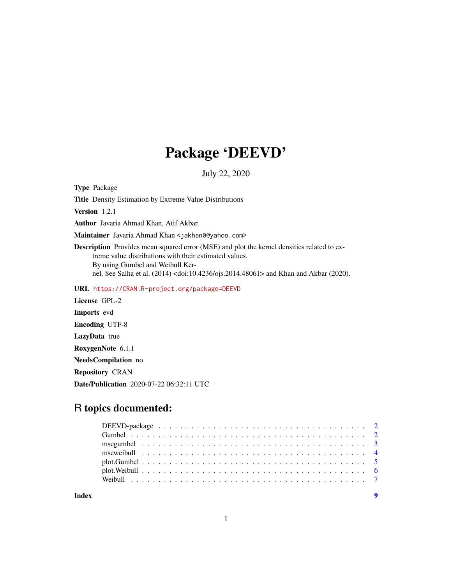## Package 'DEEVD'

July 22, 2020

Type Package

Title Density Estimation by Extreme Value Distributions

Version 1.2.1

Author Javaria Ahmad Khan, Atif Akbar.

Maintainer Javaria Ahmad Khan <jakhan0@yahoo.com>

Description Provides mean squared error (MSE) and plot the kernel densities related to extreme value distributions with their estimated values. By using Gumbel and Weibull Kernel. See Salha et al. (2014) <doi:10.4236/ojs.2014.48061> and Khan and Akbar (2020).

URL <https://CRAN.R-project.org/package=DEEVD>

License GPL-2 Imports evd Encoding UTF-8 LazyData true RoxygenNote 6.1.1 NeedsCompilation no Repository CRAN

Date/Publication 2020-07-22 06:32:11 UTC

### R topics documented:

**Index** [9](#page-8-0)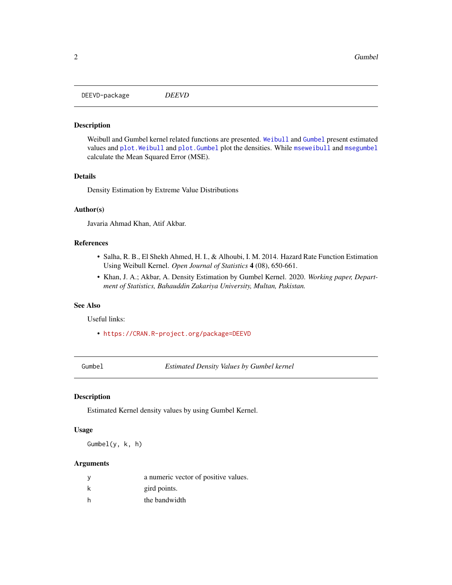<span id="page-1-0"></span>DEEVD-package *DEEVD*

#### Description

Weibull and Gumbel kernel related functions are presented. [Weibull](#page-6-1) and [Gumbel](#page-1-1) present estimated values and [plot.Weibull](#page-5-1) and [plot.Gumbel](#page-4-1) plot the densities. While [mseweibull](#page-3-1) and [msegumbel](#page-2-1) calculate the Mean Squared Error (MSE).

#### Details

Density Estimation by Extreme Value Distributions

#### Author(s)

Javaria Ahmad Khan, Atif Akbar.

#### References

- Salha, R. B., El Shekh Ahmed, H. I., & Alhoubi, I. M. 2014. Hazard Rate Function Estimation Using Weibull Kernel. *Open Journal of Statistics* 4 (08), 650-661.
- Khan, J. A.; Akbar, A. Density Estimation by Gumbel Kernel. 2020. *Working paper, Department of Statistics, Bahauddin Zakariya University, Multan, Pakistan.*

#### See Also

Useful links:

• <https://CRAN.R-project.org/package=DEEVD>

<span id="page-1-1"></span>Gumbel *Estimated Density Values by Gumbel kernel*

#### Description

Estimated Kernel density values by using Gumbel Kernel.

#### Usage

Gumbel(y, k, h)

#### Arguments

| <sub>V</sub> | a numeric vector of positive values. |
|--------------|--------------------------------------|
| k            | gird points.                         |
| h            | the bandwidth                        |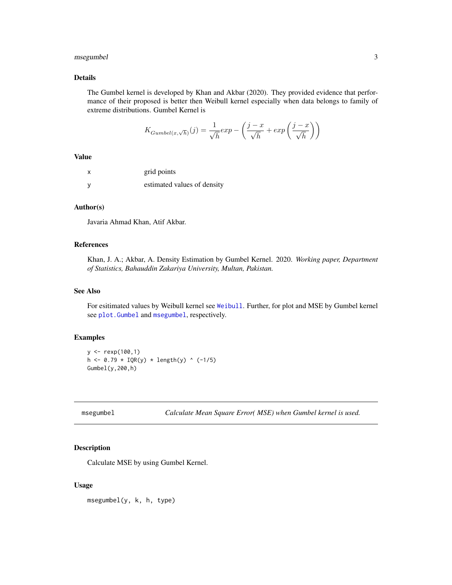#### <span id="page-2-0"></span>msegumbel 3

#### Details

The Gumbel kernel is developed by Khan and Akbar (2020). They provided evidence that performance of their proposed is better then Weibull kernel especially when data belongs to family of extreme distributions. Gumbel Kernel is

$$
K_{Gumbel(x,\sqrt{h})}(j) = \frac{1}{\sqrt{h}} exp - \left(\frac{j-x}{\sqrt{h}} + exp\left(\frac{j-x}{\sqrt{h}}\right)\right)
$$

#### Value

| x        | grid points                 |
|----------|-----------------------------|
| <b>V</b> | estimated values of density |

#### Author(s)

Javaria Ahmad Khan, Atif Akbar.

#### References

Khan, J. A.; Akbar, A. Density Estimation by Gumbel Kernel. 2020. *Working paper, Department of Statistics, Bahauddin Zakariya University, Multan, Pakistan.*

#### See Also

For esitimated values by Weibull kernel see [Weibull](#page-6-1). Further, for plot and MSE by Gumbel kernel see [plot.Gumbel](#page-4-1) and [msegumbel](#page-2-1), respectively.

#### Examples

```
y <- rexp(100,1)
h \le -0.79 * IQR(y) * length(y) * (-1/5)Gumbel(y,200,h)
```
#### Description

Calculate MSE by using Gumbel Kernel.

#### Usage

msegumbel(y, k, h, type)

<span id="page-2-1"></span>msegumbel *Calculate Mean Square Error( MSE) when Gumbel kernel is used.*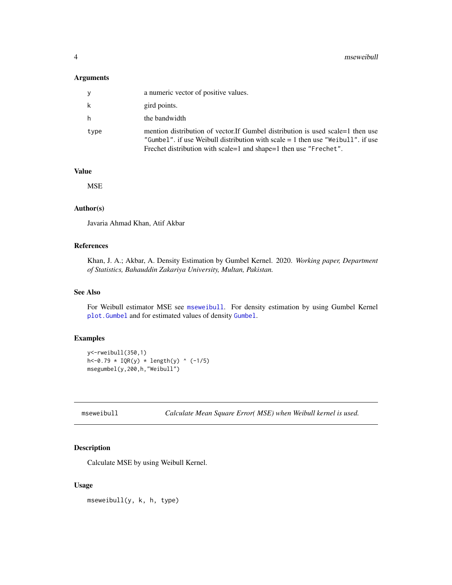#### <span id="page-3-0"></span>Arguments

| V    | a numeric vector of positive values.                                                                                                                                                                                                      |
|------|-------------------------------------------------------------------------------------------------------------------------------------------------------------------------------------------------------------------------------------------|
| k    | gird points.                                                                                                                                                                                                                              |
| h    | the bandwidth                                                                                                                                                                                                                             |
| type | mention distribution of vector. If Gumbel distribution is used scale=1 then use<br>"Gumbel", if use Weibull distribution with scale $=$ 1 then use "Weibull", if use<br>Frechet distribution with scale=1 and shape=1 then use "Frechet". |

#### Value

**MSE** 

#### Author(s)

Javaria Ahmad Khan, Atif Akbar

#### References

Khan, J. A.; Akbar, A. Density Estimation by Gumbel Kernel. 2020. *Working paper, Department of Statistics, Bahauddin Zakariya University, Multan, Pakistan.*

#### See Also

For Weibull estimator MSE see [mseweibull](#page-3-1). For density estimation by using Gumbel Kernel [plot.Gumbel](#page-4-1) and for estimated values of density [Gumbel](#page-1-1).

#### Examples

```
y<-rweibull(350,1)
h < -0.79 * IQR(y) * length(y) * (-1/5)msegumbel(y,200,h,"Weibull")
```
<span id="page-3-1"></span>mseweibull *Calculate Mean Square Error( MSE) when Weibull kernel is used.*

#### Description

Calculate MSE by using Weibull Kernel.

#### Usage

mseweibull(y, k, h, type)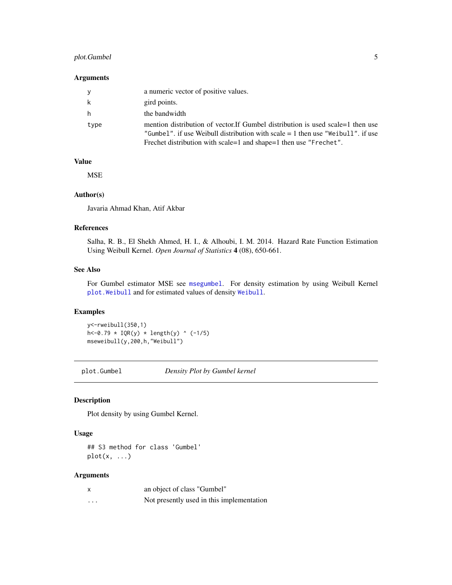#### <span id="page-4-0"></span>plot.Gumbel 5

#### Arguments

| V    | a numeric vector of positive values.                                                                                                                                                                                                            |
|------|-------------------------------------------------------------------------------------------------------------------------------------------------------------------------------------------------------------------------------------------------|
| k    | gird points.                                                                                                                                                                                                                                    |
| h    | the bandwidth                                                                                                                                                                                                                                   |
| type | mention distribution of vector. If Gumbel distribution is used scale = 1 then use<br>"Gumbel", if use Weibull distribution with scale $= 1$ then use "Weibull", if use<br>Frechet distribution with scale = 1 and shape = 1 then use "Frechet". |

#### Value

MSE

#### Author(s)

Javaria Ahmad Khan, Atif Akbar

#### References

Salha, R. B., El Shekh Ahmed, H. I., & Alhoubi, I. M. 2014. Hazard Rate Function Estimation Using Weibull Kernel. *Open Journal of Statistics* 4 (08), 650-661.

#### See Also

For Gumbel estimator MSE see [msegumbel](#page-2-1). For density estimation by using Weibull Kernel [plot.Weibull](#page-5-1) and for estimated values of density [Weibull](#page-6-1).

#### Examples

y<-rweibull(350,1)  $h < -0.79 * IQR(y) * length(y) * (-1/5)$ mseweibull(y,200,h,"Weibull")

<span id="page-4-1"></span>plot.Gumbel *Density Plot by Gumbel kernel*

#### Description

Plot density by using Gumbel Kernel.

#### Usage

## S3 method for class 'Gumbel'  $plot(x, \ldots)$ 

#### Arguments

| $\boldsymbol{\mathsf{x}}$ | an object of class "Gumbel"               |
|---------------------------|-------------------------------------------|
| .                         | Not presently used in this implementation |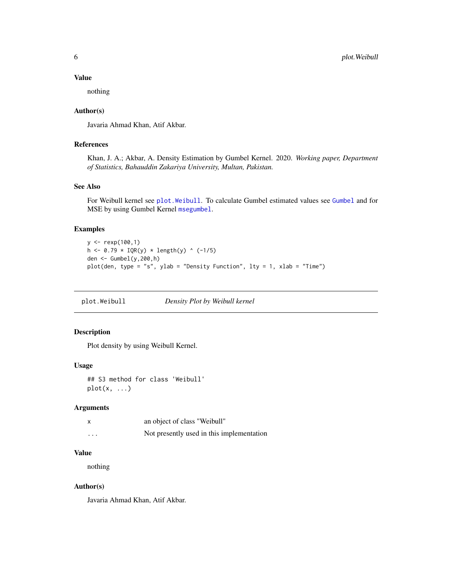#### <span id="page-5-0"></span>Value

nothing

#### Author(s)

Javaria Ahmad Khan, Atif Akbar.

#### References

Khan, J. A.; Akbar, A. Density Estimation by Gumbel Kernel. 2020. *Working paper, Department of Statistics, Bahauddin Zakariya University, Multan, Pakistan.*

#### See Also

For Weibull kernel see [plot.Weibull](#page-5-1). To calculate Gumbel estimated values see [Gumbel](#page-1-1) and for MSE by using Gumbel Kernel [msegumbel](#page-2-1).

#### Examples

```
y <- rexp(100,1)
h \le -0.79 * IQR(y) * length(y) * (-1/5)den <- Gumbel(y,200,h)
plot(den, type = "s", ylab = "Density Function", lty = 1, xlab = "Time")
```
<span id="page-5-1"></span>plot.Weibull *Density Plot by Weibull kernel*

#### Description

Plot density by using Weibull Kernel.

#### Usage

```
## S3 method for class 'Weibull'
plot(x, \ldots)
```
#### Arguments

|   | an object of class "Weibull"              |
|---|-------------------------------------------|
| . | Not presently used in this implementation |

#### Value

nothing

#### Author(s)

Javaria Ahmad Khan, Atif Akbar.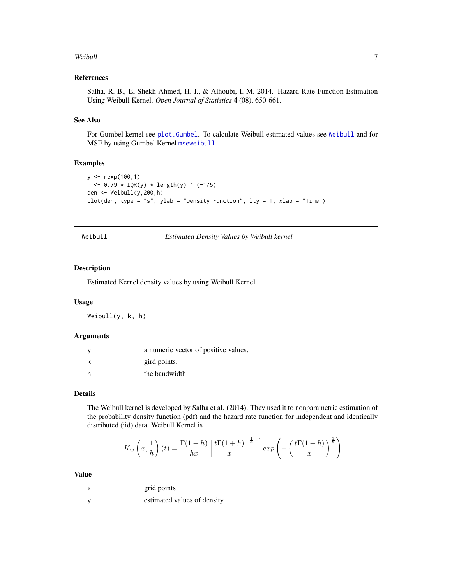#### <span id="page-6-0"></span>Weibull 2008 and 2008 and 2008 and 2008 and 2008 and 2008 and 2008 and 2008 and 2008 and 2008 and 2008 and 200

#### References

Salha, R. B., El Shekh Ahmed, H. I., & Alhoubi, I. M. 2014. Hazard Rate Function Estimation Using Weibull Kernel. *Open Journal of Statistics* 4 (08), 650-661.

#### See Also

For Gumbel kernel see [plot.Gumbel](#page-4-1). To calculate Weibull estimated values see [Weibull](#page-6-1) and for MSE by using Gumbel Kernel [mseweibull](#page-3-1).

#### Examples

```
y <- rexp(100,1)
h <- 0.79 * IQR(y) * length(y) ^ (-1/5)
den \leq Weibull(y, 200, h)
plot(den, type = "s", ylab = "Density Function", lty = 1, xlab = "Time")
```
<span id="page-6-1"></span>

| Weibull |  |  |  |
|---------|--|--|--|
|         |  |  |  |

Weibull *Estimated Density Values by Weibull kernel*

#### Description

Estimated Kernel density values by using Weibull Kernel.

#### Usage

Weibull(y, k, h)

#### Arguments

| a numeric vector of positive values. |
|--------------------------------------|
| gird points.                         |
| the bandwidth                        |

#### Details

The Weibull kernel is developed by Salha et al. (2014). They used it to nonparametric estimation of the probability density function (pdf) and the hazard rate function for independent and identically distributed (iid) data. Weibull Kernel is

$$
K_w\left(x,\frac{1}{h}\right)(t) = \frac{\Gamma(1+h)}{hx} \left[\frac{t\Gamma(1+h)}{x}\right]^{\frac{1}{h}-1} \exp\left(-\left(\frac{t\Gamma(1+h)}{x}\right)^{\frac{1}{h}}\right)
$$

#### Value

| х | grid points |
|---|-------------|
|   |             |

y estimated values of density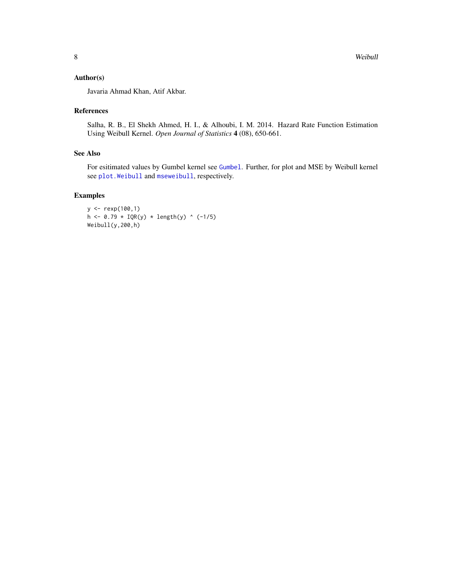#### <span id="page-7-0"></span>Author(s)

Javaria Ahmad Khan, Atif Akbar.

#### References

Salha, R. B., El Shekh Ahmed, H. I., & Alhoubi, I. M. 2014. Hazard Rate Function Estimation Using Weibull Kernel. *Open Journal of Statistics* 4 (08), 650-661.

#### See Also

For esitimated values by Gumbel kernel see [Gumbel](#page-1-1). Further, for plot and MSE by Weibull kernel see [plot.Weibull](#page-5-1) and [mseweibull](#page-3-1), respectively.

#### Examples

```
y <- rexp(100,1)
h \le -0.79 * IQR(y) * length(y) * (-1/5)Weibull(y,200,h)
```